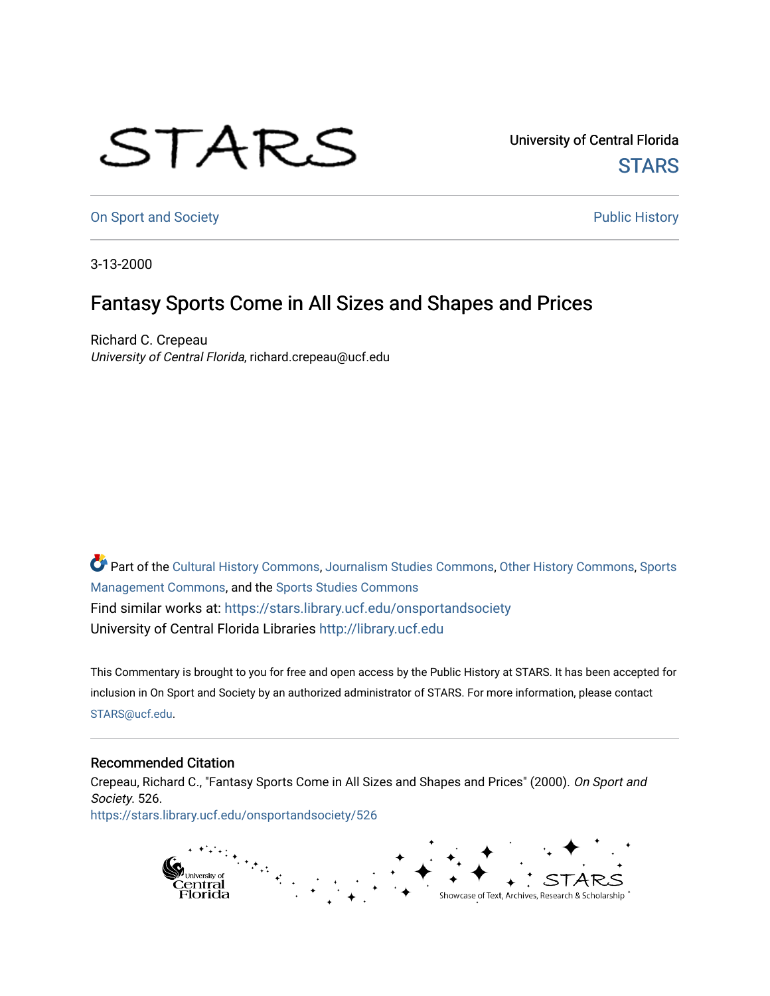## STARS

University of Central Florida **STARS** 

[On Sport and Society](https://stars.library.ucf.edu/onsportandsociety) **Public History** Public History

3-13-2000

## Fantasy Sports Come in All Sizes and Shapes and Prices

Richard C. Crepeau University of Central Florida, richard.crepeau@ucf.edu

Part of the [Cultural History Commons](http://network.bepress.com/hgg/discipline/496?utm_source=stars.library.ucf.edu%2Fonsportandsociety%2F526&utm_medium=PDF&utm_campaign=PDFCoverPages), [Journalism Studies Commons,](http://network.bepress.com/hgg/discipline/333?utm_source=stars.library.ucf.edu%2Fonsportandsociety%2F526&utm_medium=PDF&utm_campaign=PDFCoverPages) [Other History Commons,](http://network.bepress.com/hgg/discipline/508?utm_source=stars.library.ucf.edu%2Fonsportandsociety%2F526&utm_medium=PDF&utm_campaign=PDFCoverPages) [Sports](http://network.bepress.com/hgg/discipline/1193?utm_source=stars.library.ucf.edu%2Fonsportandsociety%2F526&utm_medium=PDF&utm_campaign=PDFCoverPages) [Management Commons](http://network.bepress.com/hgg/discipline/1193?utm_source=stars.library.ucf.edu%2Fonsportandsociety%2F526&utm_medium=PDF&utm_campaign=PDFCoverPages), and the [Sports Studies Commons](http://network.bepress.com/hgg/discipline/1198?utm_source=stars.library.ucf.edu%2Fonsportandsociety%2F526&utm_medium=PDF&utm_campaign=PDFCoverPages) Find similar works at: <https://stars.library.ucf.edu/onsportandsociety> University of Central Florida Libraries [http://library.ucf.edu](http://library.ucf.edu/) 

This Commentary is brought to you for free and open access by the Public History at STARS. It has been accepted for inclusion in On Sport and Society by an authorized administrator of STARS. For more information, please contact [STARS@ucf.edu](mailto:STARS@ucf.edu).

## Recommended Citation

Crepeau, Richard C., "Fantasy Sports Come in All Sizes and Shapes and Prices" (2000). On Sport and Society. 526. [https://stars.library.ucf.edu/onsportandsociety/526](https://stars.library.ucf.edu/onsportandsociety/526?utm_source=stars.library.ucf.edu%2Fonsportandsociety%2F526&utm_medium=PDF&utm_campaign=PDFCoverPages)

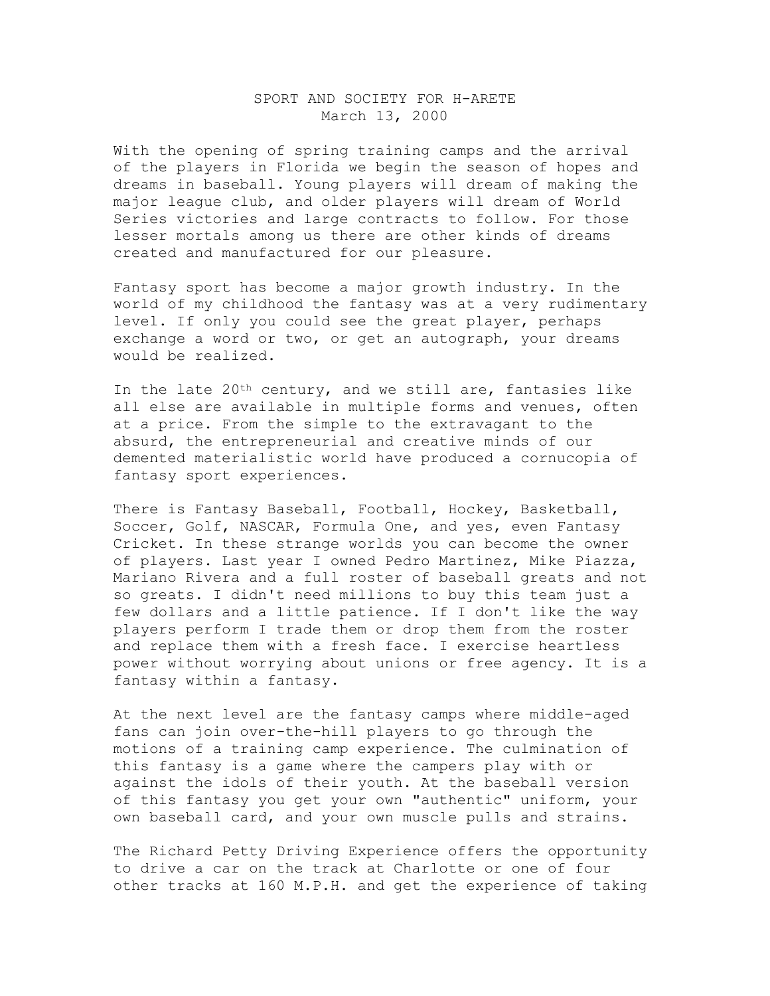## SPORT AND SOCIETY FOR H-ARETE March 13, 2000

With the opening of spring training camps and the arrival of the players in Florida we begin the season of hopes and dreams in baseball. Young players will dream of making the major league club, and older players will dream of World Series victories and large contracts to follow. For those lesser mortals among us there are other kinds of dreams created and manufactured for our pleasure.

Fantasy sport has become a major growth industry. In the world of my childhood the fantasy was at a very rudimentary level. If only you could see the great player, perhaps exchange a word or two, or get an autograph, your dreams would be realized.

In the late  $20<sup>th</sup>$  century, and we still are, fantasies like all else are available in multiple forms and venues, often at a price. From the simple to the extravagant to the absurd, the entrepreneurial and creative minds of our demented materialistic world have produced a cornucopia of fantasy sport experiences.

There is Fantasy Baseball, Football, Hockey, Basketball, Soccer, Golf, NASCAR, Formula One, and yes, even Fantasy Cricket. In these strange worlds you can become the owner of players. Last year I owned Pedro Martinez, Mike Piazza, Mariano Rivera and a full roster of baseball greats and not so greats. I didn't need millions to buy this team just a few dollars and a little patience. If I don't like the way players perform I trade them or drop them from the roster and replace them with a fresh face. I exercise heartless power without worrying about unions or free agency. It is a fantasy within a fantasy.

At the next level are the fantasy camps where middle-aged fans can join over-the-hill players to go through the motions of a training camp experience. The culmination of this fantasy is a game where the campers play with or against the idols of their youth. At the baseball version of this fantasy you get your own "authentic" uniform, your own baseball card, and your own muscle pulls and strains.

The Richard Petty Driving Experience offers the opportunity to drive a car on the track at Charlotte or one of four other tracks at 160 M.P.H. and get the experience of taking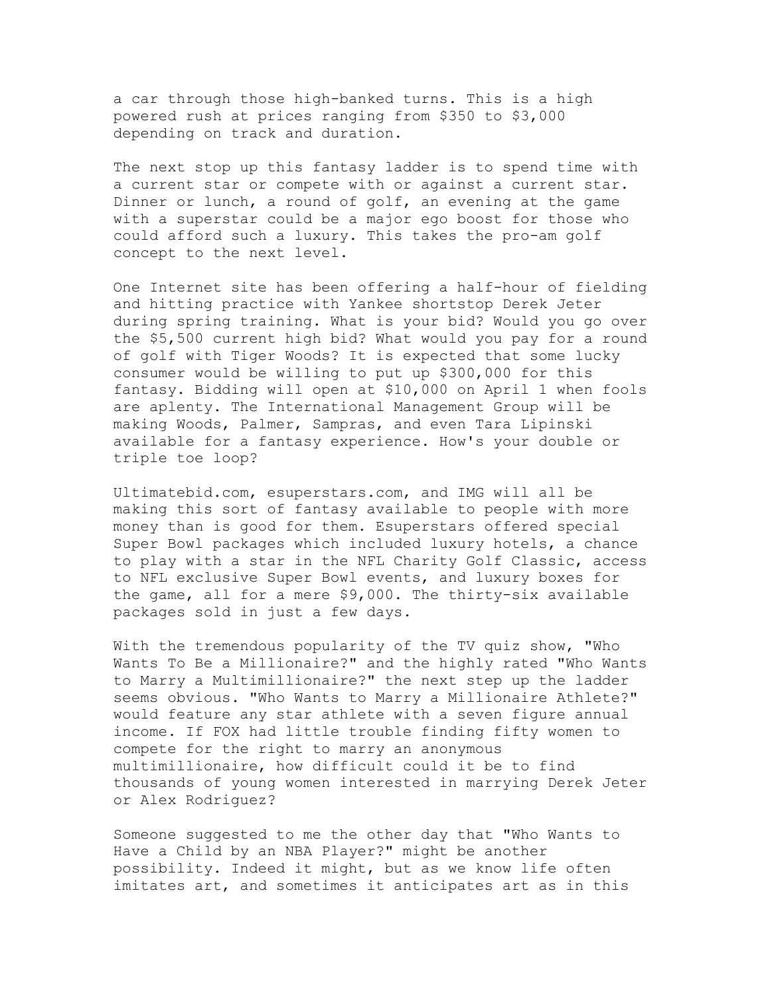a car through those high-banked turns. This is a high powered rush at prices ranging from \$350 to \$3,000 depending on track and duration.

The next stop up this fantasy ladder is to spend time with a current star or compete with or against a current star. Dinner or lunch, a round of golf, an evening at the game with a superstar could be a major ego boost for those who could afford such a luxury. This takes the pro-am golf concept to the next level.

One Internet site has been offering a half-hour of fielding and hitting practice with Yankee shortstop Derek Jeter during spring training. What is your bid? Would you go over the \$5,500 current high bid? What would you pay for a round of golf with Tiger Woods? It is expected that some lucky consumer would be willing to put up \$300,000 for this fantasy. Bidding will open at \$10,000 on April 1 when fools are aplenty. The International Management Group will be making Woods, Palmer, Sampras, and even Tara Lipinski available for a fantasy experience. How's your double or triple toe loop?

Ultimatebid.com, esuperstars.com, and IMG will all be making this sort of fantasy available to people with more money than is good for them. Esuperstars offered special Super Bowl packages which included luxury hotels, a chance to play with a star in the NFL Charity Golf Classic, access to NFL exclusive Super Bowl events, and luxury boxes for the game, all for a mere \$9,000. The thirty-six available packages sold in just a few days.

With the tremendous popularity of the TV quiz show, "Who Wants To Be a Millionaire?" and the highly rated "Who Wants to Marry a Multimillionaire?" the next step up the ladder seems obvious. "Who Wants to Marry a Millionaire Athlete?" would feature any star athlete with a seven figure annual income. If FOX had little trouble finding fifty women to compete for the right to marry an anonymous multimillionaire, how difficult could it be to find thousands of young women interested in marrying Derek Jeter or Alex Rodriguez?

Someone suggested to me the other day that "Who Wants to Have a Child by an NBA Player?" might be another possibility. Indeed it might, but as we know life often imitates art, and sometimes it anticipates art as in this